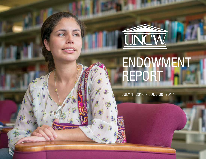

# ENDOWMENT REPORT

JULY 1, 2016 - JUNE 30, 2017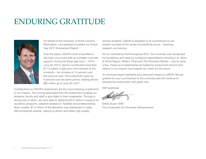## ENDURING GRATITUDE



On behalf of the University of North Carolina Wilmington, I am pleased to present our Fiscal Year 2017 Endowment Report.

Over the years, UNCW's level of excellence has risen concurrent with an increase in private support. During the fiscal year (July 1, 2016 – June 30, 2017), donors contributed more than \$17.2 million in gifts and commitments to the university – an increase of 14 percent over the previous year. The endowment grew by 9 percent over the same period, totaling almost \$92 million as of June 30, 2017.

Contributions to UNCW's endowment are the most enduring investments in our mission. The income generated from the endowment enables our students, faculty and staff to give flight to their imagination. Through a strong rate of return, we were able to distribute \$3.5 million in support for academic programs, research endeavors, facilities and professorships. Most notable, \$1.5 million of the allocation was distributed to make 466 scholarship awards, helping to attract and retain high-quality,

diverse students. UNCW is steadfast in its commitment to put student success at the center of everything we do – teaching, research and service.

It's no coincidence that throughout 2017, the university was recognized for excellence and value by numerous organizations including *U.S. News & World Report*, *Military Times* and *The Princeton Review* – just to name a few. These accomplishments are fueled by endowment donors who believe in our mission and support our vision for the future.

An enclosed report highlights your personal impact on UNCW. We are grateful for your commitment to the university and will continue to steward the endowment with great care.

With gratitude,

Eddie Stuart '05M Vice Chancellor for University Advancement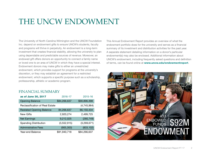### THE UNCW ENDOWMENT

The University of North Carolina Wilmington and the UNCW Foundation Inc. depend on endowment gifts to ensure UNCW's students, faculty and programs will thrive in perpetuity. An endowment is a long-term investment that creates financial stability, allowing the university to plan using dependable and predictable sources of revenue. Moreover, an endowed gift offers donors an opportunity to connect a family name or loved one to an area of UNCW in which they have a special interest. Endowment donors may make gifts to either an unrestricted endowment, which provides support for programs at the university's discretion, or they may establish an agreement for a restricted endowment, which supports a specific purpose such as a scholarship, professorship, athletic or academic program.

#### FINANCIAL SUMMARY

| as of June 30, 2017                    | 2016-17      | 2015-16      |
|----------------------------------------|--------------|--------------|
| <b>Opening Balance</b>                 | \$84,266,637 | \$90,896,398 |
| <b>Reclassification of Real Estate</b> |              | (4,745,964)  |
| <b>Restated Opening Balance</b>        | 84,266,637   | 86,150,434   |
| <b>New Gifts</b>                       | 2,920,274    | 2,499,725    |
| <b>Net Earnings</b>                    | 9,212,025    | (280, 749)   |
| <b>Spending Distribution</b>           | (3,552,915)  | (3,269,671)  |
| <b>Administrative Fees</b>             | (905, 303)   | (833, 102)   |
| Year-end Balance                       | \$91,940,718 | \$84,266,637 |

This Annual Endowment Report provides an overview of what the endowment portfolio does for the university and serves as a financial summary of its investment and distribution activities for the past year. A separate statement detailing information on a donor's particular endowment(s) may also be enclosed. Additional information about UNCW's endowment, including frequently asked questions and definition of terms, can be found online at www.uncw.edu/endowmentreport.

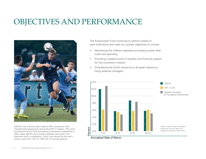# OBJECTIVES AND PERFORMANCE



UNCW's men's soccer team made its fifth consecutive CAA championship appearance during the 2016-17 season. The Calvin Lane Soccer Alumni SAA Scholarship Endowment, established in 2004, helps UNCW recruit student-athletes who excel in the classroom and in competition. Calvin Lane served as the men's soccer coach from 1971 to 1985 with 10 winning seasons.

The Endowment Fund continues to perform ahead of peer institutions and meet our primary objectives to include:

- Maintaining the inflation-adjusted purchasing power after costs and spending
- Providing a stable source of liquidity and financial support for the university's mission
- Diversifying the fund's exposure to all asset classes by hiring external managers



Annualized Rate of Return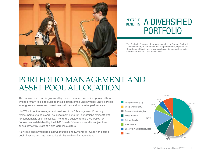

### NOTABLE | A DIVERSIFIED PORTFOLIO **BENEFITS**

The Beckwith Endowment for Music, created by Barbara Beckwith Dobo in memory of her mother and her grandmother, supports the Department of Music and provides scholarship support for music students as well as unrestricted funds.

### PORTFOLIO MANAGEMENT AND ASSET POOL ALLOCATION

The Endowment Fund is governed by a nine-member, university-appointed board whose primary role is to oversee the allocation of the Endowment Fund's portfolio among asset classes and investment vehicles and to monitor performance.

UNCW utilizes the management services of UNC Management Company (www.uncmc.unc.edu) and The Investment Fund for Foundations (www.tiff.org) for substantially all of its assets. The fund is subject to the UNC Policy for Endowment established by the UNC Board of Governors and is subject to an annual review by State of North Carolina auditors.

A unitized endowment pool allows multiple endowments to invest in the same pool of assets and has mechanics similar to that of a mutual fund.

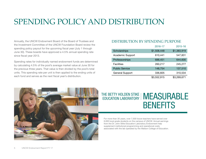# SPENDING POLICY AND DISTRIBUTION

Annually, the UNCW Endowment Board of the Board of Trustees and the Investment Committee of the UNCW Foundation Board review the spending policy payout for the upcoming fiscal year (July 1 through June 30). These boards have approved a 4.5% annual spending rate since fiscal year 2013.

Spending rates for individually named endowment funds are determined by calculating 4.5% of the pool's average market value at June 30 for the previous three years. That value is then divided by the pool's total units. This spending rate per unit is then applied to the ending units of each fund and serves as the next fiscal year's distribution.

#### DISTRIBUTION BY SPENDING PURPOSE

|                        | 2016-17     | 2015-16     |
|------------------------|-------------|-------------|
| Scholarships           | \$1,508,448 | \$1,383,919 |
| Academic Support       | 610,441     | 547,831     |
| Professorships         | 688,451     | 644,600     |
| <b>Facilities</b>      | 260,217     | 245,277     |
| <b>Public Service</b>  | 148,754     | 137,510     |
| <b>General Support</b> | 336,605     | 310,534     |
|                        | \$3,552,915 | \$3,269,671 |



### THE BETTY HOLDEN STIKE | MEASURABLE **BENEFITS** EDUCATION LABORATORY

For more than 30 years, over 7,500 future teachers have served over 6,000 local grade students on the campus of UNCW. Annual earnings from the Dr. John Stike Education Laboratory Endowment help supplement institutional programming and operational costs associated with the lab operated by the Watson College of Education.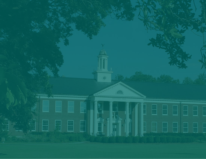